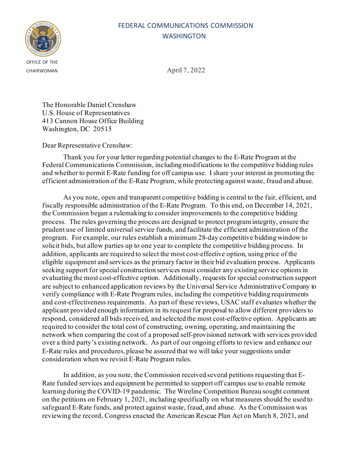

CHAIRWOMAN April 7, 2022

The Honorable Daniel Crenshaw U.S. House of Representatives 413 Cannon House Office Building Washington, DC 20515

Dear Representative Crenshaw:

Thank you for your letter regarding potential changes to the E-Rate Program at the Federal Communications Commission, including modifications to the competitive bidding rules and whether to permit E-Rate funding for off campus use. I share your interest in promoting the efficient administration of the E-Rate Program, while protecting against waste, fraud and abuse.

As you note, open and transparent competitive bidding is central to the fair, efficient, and fiscally responsible administration of the E-Rate Program. To this end, on December 14, 2021, the Commission began a rulemaking to consider improvements to the competitive bidding process. The rules governing the process are designed to protect program integrity, ensure the prudent use of limited universal service funds, and facilitate the efficient administration of the program. For example, our rules establish a minimum 28-day competitive bidding window to solicit bids, but allow parties up to one year to complete the competitive bidding process. In addition, applicants are required to select the most cost-effective option, using price of the eligible equipment and services as the primary factor in their bid evaluation process. Applicants seeking support for special construction services must consider any existing service options in evaluating the most cost-effective option. Additionally, requests for special construction support are subject to enhanced application reviews by the Universal Service Administrative Company to verify compliance with E-Rate Program rules, including the competitive bidding requirements and cost-effectiveness requirements. As part of these reviews, USAC staff evaluates whether the applicant provided enough information in its request for proposal to allow different providers to respond, considered all bids received, and selected the most cost-effective option. Applicants are required to consider the total cost of constructing, owning, operating, and maintaining the network when comparing the cost of a proposed self-provisioned network with services provided over a third party's existing network. As part of our ongoing efforts to review and enhance our E-Rate rules and procedures, please be assured that we will take your suggestions under consideration when we revisit E-Rate Program rules.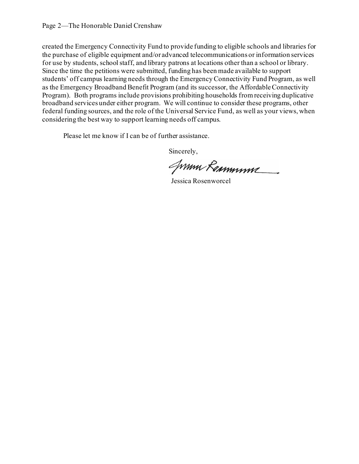Please let me know if I can be of further assistance.

JWMM Remminive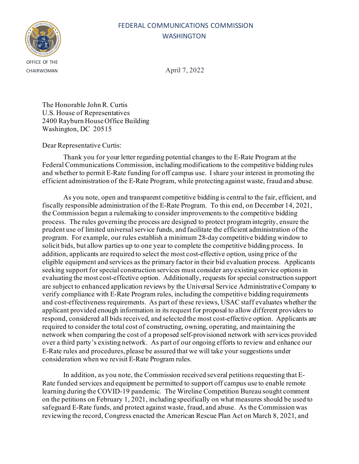

CHAIRWOMAN April 7, 2022

The Honorable John R. Curtis U.S. House of Representatives 2400 Rayburn House Office Building Washington, DC 20515

### Dear Representative Curtis:

Thank you for your letter regarding potential changes to the E-Rate Program at the Federal Communications Commission, including modifications to the competitive bidding rules and whether to permit E-Rate funding for off campus use. I share your interest in promoting the efficient administration of the E-Rate Program, while protecting against waste, fraud and abuse.

As you note, open and transparent competitive bidding is central to the fair, efficient, and fiscally responsible administration of the E-Rate Program. To this end, on December 14, 2021, the Commission began a rulemaking to consider improvements to the competitive bidding process. The rules governing the process are designed to protect program integrity, ensure the prudent use of limited universal service funds, and facilitate the efficient administration of the program. For example, our rules establish a minimum 28-day competitive bidding window to solicit bids, but allow parties up to one year to complete the competitive bidding process. In addition, applicants are required to select the most cost-effective option, using price of the eligible equipment and services as the primary factor in their bid evaluation process. Applicants seeking support for special construction services must consider any existing service options in evaluating the most cost-effective option. Additionally, requests for special construction support are subject to enhanced application reviews by the Universal Service Administrative Company to verify compliance with E-Rate Program rules, including the competitive bidding requirements and cost-effectiveness requirements. As part of these reviews, USAC staff evaluates whether the applicant provided enough information in its request for proposal to allow different providers to respond, considered all bids received, and selected the most cost-effective option. Applicants are required to consider the total cost of constructing, owning, operating, and maintaining the network when comparing the cost of a proposed self-provisioned network with services provided over a third party's existing network. As part of our ongoing efforts to review and enhance our E-Rate rules and procedures, please be assured that we will take your suggestions under consideration when we revisit E-Rate Program rules.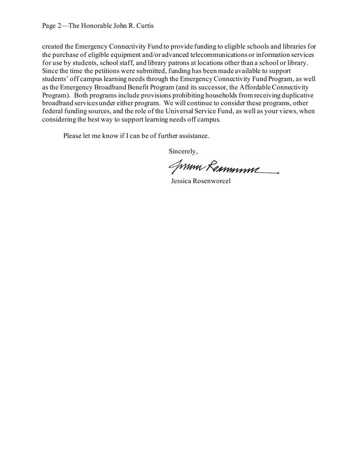Please let me know if I can be of further assistance.

JWMM Rammmme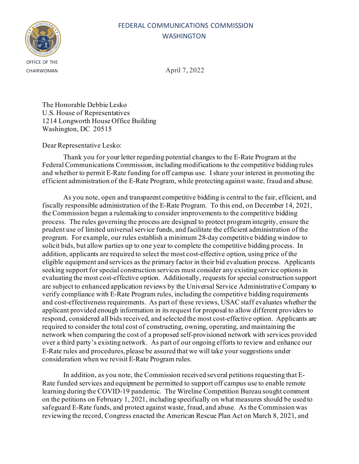

CHAIRWOMAN April 7, 2022

The Honorable Debbie Lesko U.S. House of Representatives 1214 Longworth House Office Building Washington, DC 20515

### Dear Representative Lesko:

Thank you for your letter regarding potential changes to the E-Rate Program at the Federal Communications Commission, including modifications to the competitive bidding rules and whether to permit E-Rate funding for off campus use. I share your interest in promoting the efficient administration of the E-Rate Program, while protecting against waste, fraud and abuse.

As you note, open and transparent competitive bidding is central to the fair, efficient, and fiscally responsible administration of the E-Rate Program. To this end, on December 14, 2021, the Commission began a rulemaking to consider improvements to the competitive bidding process. The rules governing the process are designed to protect program integrity, ensure the prudent use of limited universal service funds, and facilitate the efficient administration of the program. For example, our rules establish a minimum 28-day competitive bidding window to solicit bids, but allow parties up to one year to complete the competitive bidding process. In addition, applicants are required to select the most cost-effective option, using price of the eligible equipment and services as the primary factor in their bid evaluation process. Applicants seeking support for special construction services must consider any existing service options in evaluating the most cost-effective option. Additionally, requests for special construction support are subject to enhanced application reviews by the Universal Service Administrative Company to verify compliance with E-Rate Program rules, including the competitive bidding requirements and cost-effectiveness requirements. As part of these reviews, USAC staff evaluates whether the applicant provided enough information in its request for proposal to allow different providers to respond, considered all bids received, and selected the most cost-effective option. Applicants are required to consider the total cost of constructing, owning, operating, and maintaining the network when comparing the cost of a proposed self-provisioned network with services provided over a third party's existing network. As part of our ongoing efforts to review and enhance our E-Rate rules and procedures, please be assured that we will take your suggestions under consideration when we revisit E-Rate Program rules.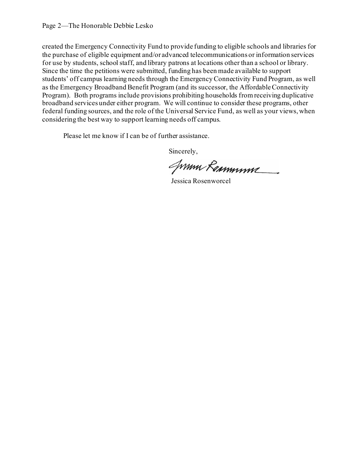Please let me know if I can be of further assistance.

JWMM Remminive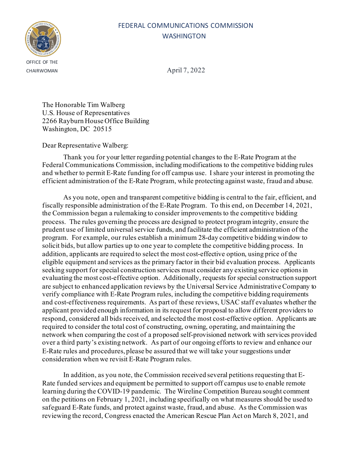

CHAIRWOMAN April 7, 2022

The Honorable Tim Walberg U.S. House of Representatives 2266 Rayburn House Office Building Washington, DC 20515

Dear Representative Walberg:

Thank you for your letter regarding potential changes to the E-Rate Program at the Federal Communications Commission, including modifications to the competitive bidding rules and whether to permit E-Rate funding for off campus use. I share your interest in promoting the efficient administration of the E-Rate Program, while protecting against waste, fraud and abuse.

As you note, open and transparent competitive bidding is central to the fair, efficient, and fiscally responsible administration of the E-Rate Program. To this end, on December 14, 2021, the Commission began a rulemaking to consider improvements to the competitive bidding process. The rules governing the process are designed to protect program integrity, ensure the prudent use of limited universal service funds, and facilitate the efficient administration of the program. For example, our rules establish a minimum 28-day competitive bidding window to solicit bids, but allow parties up to one year to complete the competitive bidding process. In addition, applicants are required to select the most cost-effective option, using price of the eligible equipment and services as the primary factor in their bid evaluation process. Applicants seeking support for special construction services must consider any existing service options in evaluating the most cost-effective option. Additionally, requests for special construction support are subject to enhanced application reviews by the Universal Service Administrative Company to verify compliance with E-Rate Program rules, including the competitive bidding requirements and cost-effectiveness requirements. As part of these reviews, USAC staff evaluates whether the applicant provided enough information in its request for proposal to allow different providers to respond, considered all bids received, and selected the most cost-effective option. Applicants are required to consider the total cost of constructing, owning, operating, and maintaining the network when comparing the cost of a proposed self-provisioned network with services provided over a third party's existing network. As part of our ongoing efforts to review and enhance our E-Rate rules and procedures, please be assured that we will take your suggestions under consideration when we revisit E-Rate Program rules.